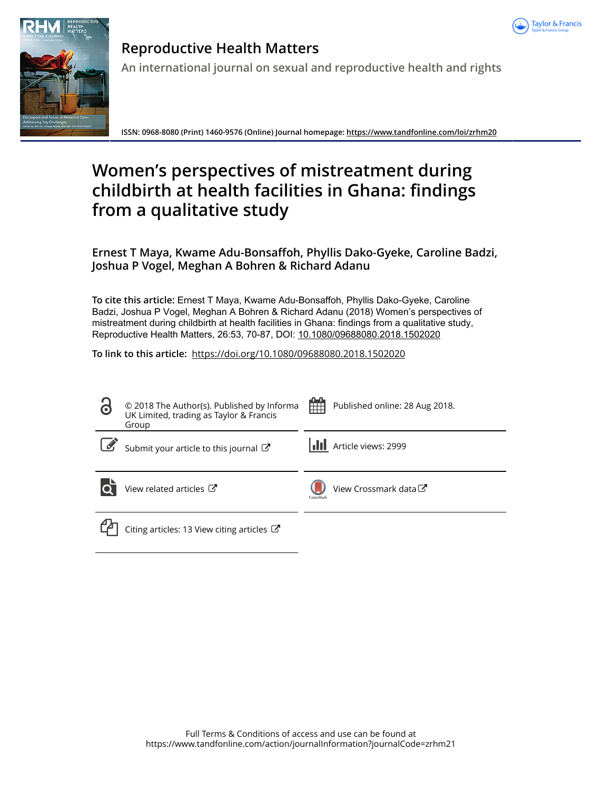



**Reproductive Health Matters An international journal on sexual and reproductive health and rights**

**ISSN: 0968-8080 (Print) 1460-9576 (Online) Journal homepage:<https://www.tandfonline.com/loi/zrhm20>**

# **Women's perspectives of mistreatment during childbirth at health facilities in Ghana: findings from a qualitative study**

**Ernest T Maya, Kwame Adu-Bonsaffoh, Phyllis Dako-Gyeke, Caroline Badzi, Joshua P Vogel, Meghan A Bohren & Richard Adanu**

**To cite this article:** Ernest T Maya, Kwame Adu-Bonsaffoh, Phyllis Dako-Gyeke, Caroline Badzi, Joshua P Vogel, Meghan A Bohren & Richard Adanu (2018) Women's perspectives of mistreatment during childbirth at health facilities in Ghana: findings from a qualitative study, Reproductive Health Matters, 26:53, 70-87, DOI: [10.1080/09688080.2018.1502020](https://www.tandfonline.com/action/showCitFormats?doi=10.1080/09688080.2018.1502020)

**To link to this article:** <https://doi.org/10.1080/09688080.2018.1502020>

| 6 | © 2018 The Author(s). Published by Informa<br>UK Limited, trading as Taylor & Francis<br>Group | -0-0<br>Published online: 28 Aug 2018.<br>鹽   |
|---|------------------------------------------------------------------------------------------------|-----------------------------------------------|
|   | Submit your article to this journal                                                            | Article views: 2999                           |
|   | View related articles C                                                                        | View Crossmark data <sup>C</sup><br>CrossMark |
|   | Citing articles: 13 View citing articles C                                                     |                                               |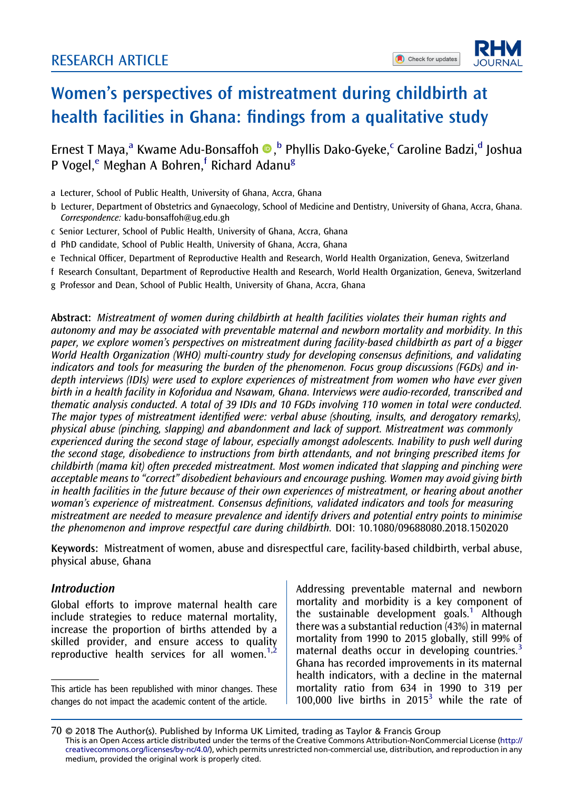## <span id="page-1-0"></span>Women's perspectives of mistreatment during childbirth at health facilities in Ghana: findings from a qualitative study

Ernest T Maya,<sup>a</sup> Kwame Adu-Bonsaffoh <sup>®</sup>, <sup>b</sup> Phyllis Dako-Gyeke,<sup>c</sup> Caroline Badzi,<sup>d</sup> Joshua P Vogel,<sup>e</sup> Meghan A Bohren,<sup>f</sup> Richard Adanu<sup>g</sup>

a Lecturer, School of Public Health, University of Ghana, Accra, Ghana

- b Lecturer, Department of Obstetrics and Gynaecology, School of Medicine and Dentistry, University of Ghana, Accra, Ghana. Correspondence: [kadu-bonsaffoh@ug.edu.gh](mailto:kadu-bonsaffoh@ug.edu.gh)
- c Senior Lecturer, School of Public Health, University of Ghana, Accra, Ghana
- d PhD candidate, School of Public Health, University of Ghana, Accra, Ghana
- e Technical Officer, Department of Reproductive Health and Research, World Health Organization, Geneva, Switzerland
- f Research Consultant, Department of Reproductive Health and Research, World Health Organization, Geneva, Switzerland
- g Professor and Dean, School of Public Health, University of Ghana, Accra, Ghana

Abstract: Mistreatment of women during childbirth at health facilities violates their human rights and autonomy and may be associated with preventable maternal and newborn mortality and morbidity. In this paper, we explore women's perspectives on mistreatment during facility-based childbirth as part of a bigger World Health Organization (WHO) multi-country study for developing consensus definitions, and validating indicators and tools for measuring the burden of the phenomenon. Focus group discussions (FGDs) and indepth interviews (IDIs) were used to explore experiences of mistreatment from women who have ever given birth in a health facility in Koforidua and Nsawam, Ghana. Interviews were audio-recorded, transcribed and thematic analysis conducted. A total of 39 IDIs and 10 FGDs involving 110 women in total were conducted. The major types of mistreatment identified were: verbal abuse (shouting, insults, and derogatory remarks), physical abuse (pinching, slapping) and abandonment and lack of support. Mistreatment was commonly experienced during the second stage of labour, especially amongst adolescents. Inability to push well during the second stage, disobedience to instructions from birth attendants, and not bringing prescribed items for childbirth (mama kit) often preceded mistreatment. Most women indicated that slapping and pinching were acceptable means to "correct" disobedient behaviours and encourage pushing. Women may avoid giving birth in health facilities in the future because of their own experiences of mistreatment, or hearing about another woman's experience of mistreatment. Consensus definitions, validated indicators and tools for measuring mistreatment are needed to measure prevalence and identify drivers and potential entry points to minimise the phenomenon and improve respectful care during childbirth. DOI: 10.1080/09688080.2018.1502020

Keywords: Mistreatment of women, abuse and disrespectful care, facility-based childbirth, verbal abuse, physical abuse, Ghana

### Introduction

Global efforts to improve maternal health care include strategies to reduce maternal mortality, increase the proportion of births attended by a skilled provider, and ensure access to quality reproductive health services for all women.<sup>1,[2](#page-12-0)</sup>

Addressing preventable maternal and newborn mortality and morbidity is a key component of the sustainable development goals.<sup>[1](#page-12-0)</sup> Although there was a substantial reduction (43%) in maternal mortality from 1990 to 2015 globally, still 99% of maternal deaths occur in developing countries.<sup>[3](#page-12-0)</sup> Ghana has recorded improvements in its maternal health indicators, with a decline in the maternal mortality ratio from 634 in 1990 to 319 per 100,000 live births in  $2015^3$  $2015^3$  while the rate of

This article has been republished with minor changes. These changes do not impact the academic content of the article.

<sup>70</sup> © 2018 The Author(s). Published by Informa UK Limited, trading as Taylor & Francis Group This is an Open Access article distributed under the terms of the Creative Commons Attribution-NonCommercial License [\(http://](http://creativecommons.org/licenses/by-nc/4.0/) [creativecommons.org/licenses/by-nc/4.0/\)](http://creativecommons.org/licenses/by-nc/4.0/), which permits unrestricted non-commercial use, distribution, and reproduction in any medium, provided the original work is properly cited.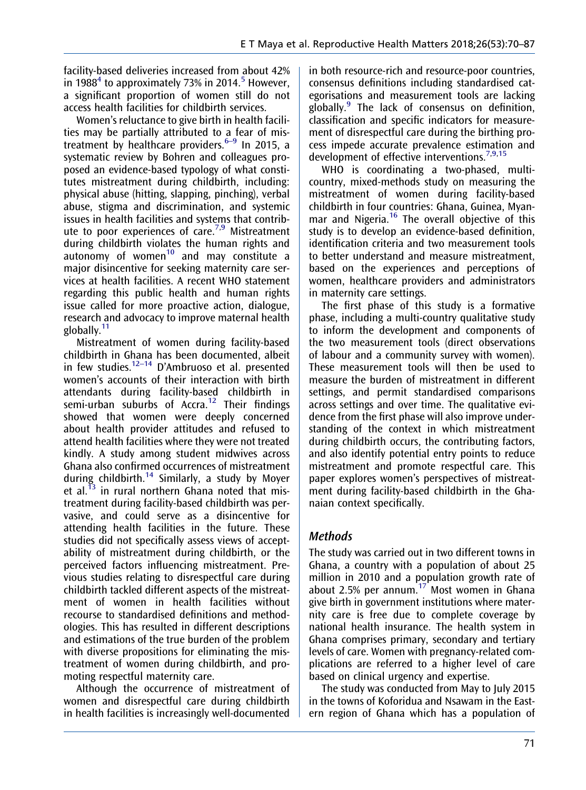<span id="page-2-0"></span>facility-based deliveries increased from about 42% in 1988<sup>[4](#page-12-0)</sup> to approximately 73% in 2014.<sup>[5](#page-12-0)</sup> However, a significant proportion of women still do not access health facilities for childbirth services.

Women's reluctance to give birth in health facilities may be partially attributed to a fear of mistreatment by healthcare providers.<sup>6–9</sup> In 2015, a systematic review by Bohren and colleagues proposed an evidence-based typology of what constitutes mistreatment during childbirth, including: physical abuse (hitting, slapping, pinching), verbal abuse, stigma and discrimination, and systemic issues in health facilities and systems that contribute to poor experiences of care.<sup>7,9</sup> Mistreatment during childbirth violates the human rights and autonomy of women $10$  and may constitute a major disincentive for seeking maternity care services at health facilities. A recent WHO statement regarding this public health and human rights issue called for more proactive action, dialogue, research and advocacy to improve maternal health globally.<sup>[11](#page-12-0)</sup>

Mistreatment of women during facility-based childbirth in Ghana has been documented, albeit in few studies.12–<sup>14</sup> D'Ambruoso et al. presented women's accounts of their interaction with birth attendants during facility-based childbirth in semi-urban suburbs of Accra.<sup>[12](#page-12-0)</sup> Their findings showed that women were deeply concerned about health provider attitudes and refused to attend health facilities where they were not treated kindly. A study among student midwives across Ghana also confirmed occurrences of mistreatment during childbirth.<sup>[14](#page-12-0)</sup> Similarly, a study by Moyer et al. $^{13}$  $^{13}$  $^{13}$  in rural northern Ghana noted that mistreatment during facility-based childbirth was pervasive, and could serve as a disincentive for attending health facilities in the future. These studies did not specifically assess views of acceptability of mistreatment during childbirth, or the perceived factors influencing mistreatment. Previous studies relating to disrespectful care during childbirth tackled different aspects of the mistreatment of women in health facilities without recourse to standardised definitions and methodologies. This has resulted in different descriptions and estimations of the true burden of the problem with diverse propositions for eliminating the mistreatment of women during childbirth, and promoting respectful maternity care.

Although the occurrence of mistreatment of women and disrespectful care during childbirth in health facilities is increasingly well-documented in both resource-rich and resource-poor countries, consensus definitions including standardised categorisations and measurement tools are lacking globally.[9](#page-12-0) The lack of consensus on definition, classification and specific indicators for measurement of disrespectful care during the birthing process impede accurate prevalence estimation and development of effective interventions.<sup>[7,9,15](#page-12-0)</sup>

WHO is coordinating a two-phased, multicountry, mixed-methods study on measuring the mistreatment of women during facility-based childbirth in four countries: Ghana, Guinea, Myan-mar and Nigeria.<sup>[16](#page-12-0)</sup> The overall objective of this study is to develop an evidence-based definition, identification criteria and two measurement tools to better understand and measure mistreatment, based on the experiences and perceptions of women, healthcare providers and administrators in maternity care settings.

The first phase of this study is a formative phase, including a multi-country qualitative study to inform the development and components of the two measurement tools (direct observations of labour and a community survey with women). These measurement tools will then be used to measure the burden of mistreatment in different settings, and permit standardised comparisons across settings and over time. The qualitative evidence from the first phase will also improve understanding of the context in which mistreatment during childbirth occurs, the contributing factors, and also identify potential entry points to reduce mistreatment and promote respectful care. This paper explores women's perspectives of mistreatment during facility-based childbirth in the Ghanaian context specifically.

## **Methods**

The study was carried out in two different towns in Ghana, a country with a population of about 25 million in 2010 and a population growth rate of about 2.5% per annum. $17$  Most women in Ghana give birth in government institutions where maternity care is free due to complete coverage by national health insurance. The health system in Ghana comprises primary, secondary and tertiary levels of care. Women with pregnancy-related complications are referred to a higher level of care based on clinical urgency and expertise.

The study was conducted from May to July 2015 in the towns of Koforidua and Nsawam in the Eastern region of Ghana which has a population of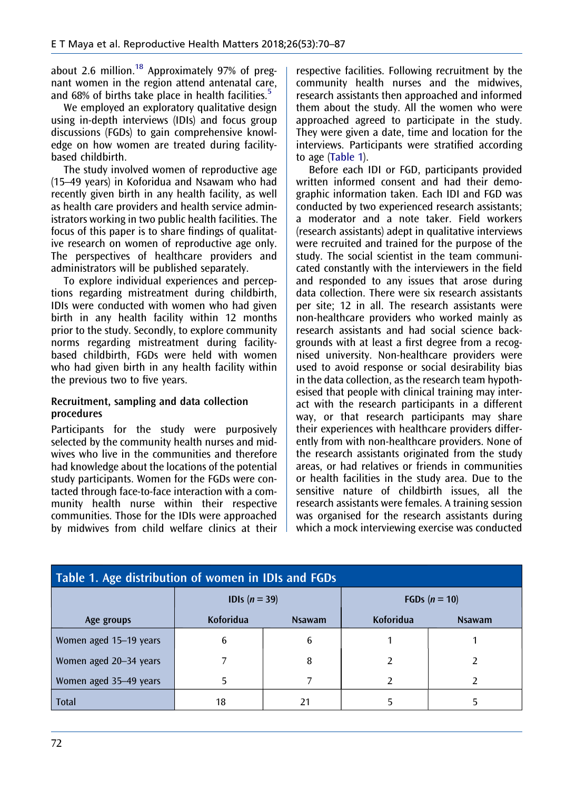<span id="page-3-0"></span>about 2.6 million.<sup>18</sup> Approximately 97% of pregnant women in the region attend antenatal care, and 68% of births take place in health facilities.<sup>5</sup>

We employed an exploratory qualitative design using in-depth interviews (IDIs) and focus group discussions (FGDs) to gain comprehensive knowledge on how women are treated during facilitybased childbirth.

The study involved women of reproductive age (15–49 years) in Koforidua and Nsawam who had recently given birth in any health facility, as well as health care providers and health service administrators working in two public health facilities. The focus of this paper is to share findings of qualitative research on women of reproductive age only. The perspectives of healthcare providers and administrators will be published separately.

To explore individual experiences and perceptions regarding mistreatment during childbirth, IDIs were conducted with women who had given birth in any health facility within 12 months prior to the study. Secondly, to explore community norms regarding mistreatment during facilitybased childbirth, FGDs were held with women who had given birth in any health facility within the previous two to five years.

#### Recruitment, sampling and data collection procedures

Participants for the study were purposively selected by the community health nurses and midwives who live in the communities and therefore had knowledge about the locations of the potential study participants. Women for the FGDs were contacted through face-to-face interaction with a community health nurse within their respective communities. Those for the IDIs were approached by midwives from child welfare clinics at their respective facilities. Following recruitment by the community health nurses and the midwives, research assistants then approached and informed them about the study. All the women who were approached agreed to participate in the study. They were given a date, time and location for the interviews. Participants were stratified according to age (Table 1).

Before each IDI or FGD, participants provided written informed consent and had their demographic information taken. Each IDI and FGD was conducted by two experienced research assistants; a moderator and a note taker. Field workers (research assistants) adept in qualitative interviews were recruited and trained for the purpose of the study. The social scientist in the team communicated constantly with the interviewers in the field and responded to any issues that arose during data collection. There were six research assistants per site; 12 in all. The research assistants were non-healthcare providers who worked mainly as research assistants and had social science backgrounds with at least a first degree from a recognised university. Non-healthcare providers were used to avoid response or social desirability bias in the data collection, as the research team hypothesised that people with clinical training may interact with the research participants in a different way, or that research participants may share their experiences with healthcare providers differently from with non-healthcare providers. None of the research assistants originated from the study areas, or had relatives or friends in communities or health facilities in the study area. Due to the sensitive nature of childbirth issues, all the research assistants were females. A training session was organised for the research assistants during which a mock interviewing exercise was conducted

| Table 1. Age distribution of women in IDIs and FGDs |                            |    |                        |               |  |  |  |
|-----------------------------------------------------|----------------------------|----|------------------------|---------------|--|--|--|
|                                                     | <b>IDIs</b> $(n = 39)$     |    | <b>FGDs</b> $(n = 10)$ |               |  |  |  |
| Age groups                                          | Koforidua<br><b>Nsawam</b> |    | Koforidua              | <b>Nsawam</b> |  |  |  |
| Women aged 15–19 years                              | 6                          | 6  |                        |               |  |  |  |
| Women aged 20–34 years                              |                            | 8  |                        |               |  |  |  |
| Women aged 35–49 years                              |                            |    | Ο.                     |               |  |  |  |
| <b>Total</b>                                        | 18                         | 21 |                        |               |  |  |  |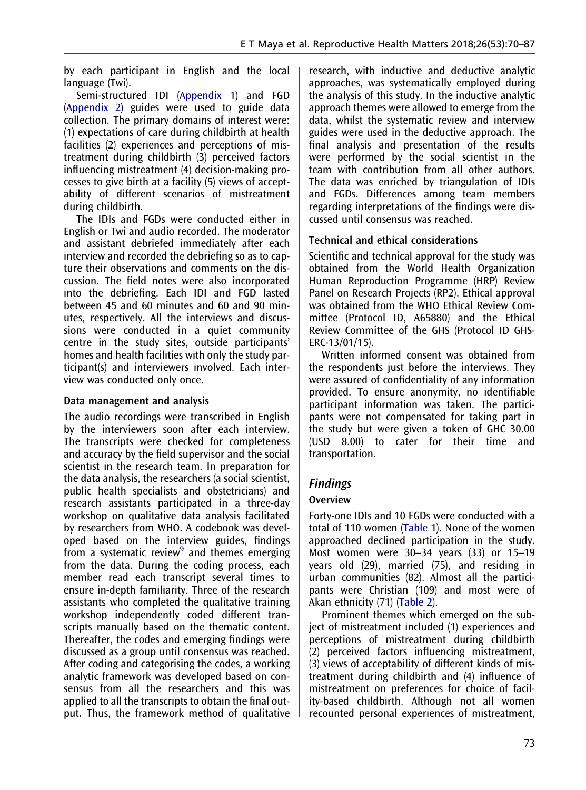by each participant in English and the local language (Twi).

Semi-structured IDI ([Appendix 1\)](#page-15-0) and FGD [\(Appendix 2\)](#page-17-0) guides were used to guide data collection. The primary domains of interest were: (1) expectations of care during childbirth at health facilities (2) experiences and perceptions of mistreatment during childbirth (3) perceived factors influencing mistreatment (4) decision-making processes to give birth at a facility (5) views of acceptability of different scenarios of mistreatment during childbirth.

The IDIs and FGDs were conducted either in English or Twi and audio recorded. The moderator and assistant debriefed immediately after each interview and recorded the debriefing so as to capture their observations and comments on the discussion. The field notes were also incorporated into the debriefing. Each IDI and FGD lasted between 45 and 60 minutes and 60 and 90 minutes, respectively. All the interviews and discussions were conducted in a quiet community centre in the study sites, outside participants' homes and health facilities with only the study participant(s) and interviewers involved. Each interview was conducted only once.

## Data management and analysis

The audio recordings were transcribed in English by the interviewers soon after each interview. The transcripts were checked for completeness and accuracy by the field supervisor and the social scientist in the research team. In preparation for the data analysis, the researchers (a social scientist, public health specialists and obstetricians) and research assistants participated in a three-day workshop on qualitative data analysis facilitated by researchers from WHO. A codebook was developed based on the interview guides, findings from a systematic review<sup>9</sup> and themes emerging from the data. During the coding process, each member read each transcript several times to ensure in-depth familiarity. Three of the research assistants who completed the qualitative training workshop independently coded different transcripts manually based on the thematic content. Thereafter, the codes and emerging findings were discussed as a group until consensus was reached. After coding and categorising the codes, a working analytic framework was developed based on consensus from all the researchers and this was applied to all the transcripts to obtain the final output. Thus, the framework method of qualitative research, with inductive and deductive analytic approaches, was systematically employed during the analysis of this study. In the inductive analytic approach themes were allowed to emerge from the data, whilst the systematic review and interview guides were used in the deductive approach. The final analysis and presentation of the results were performed by the social scientist in the team with contribution from all other authors. The data was enriched by triangulation of IDIs and FGDs. Differences among team members regarding interpretations of the findings were discussed until consensus was reached.

## Technical and ethical considerations

Scientific and technical approval for the study was obtained from the World Health Organization Human Reproduction Programme (HRP) Review Panel on Research Projects (RP2). Ethical approval was obtained from the WHO Ethical Review Committee (Protocol ID, A65880) and the Ethical Review Committee of the GHS (Protocol ID GHS-ERC-13/01/15).

Written informed consent was obtained from the respondents just before the interviews. They were assured of confidentiality of any information provided. To ensure anonymity, no identifiable participant information was taken. The participants were not compensated for taking part in the study but were given a token of GHC 30.00 (USD 8.00) to cater for their time and transportation.

## Findings

## **Overview**

Forty-one IDIs and 10 FGDs were conducted with a total of 110 women ([Table 1](#page-3-0)). None of the women approached declined participation in the study. Most women were 30–34 years (33) or 15–19 years old (29), married (75), and residing in urban communities (82). Almost all the participants were Christian (109) and most were of Akan ethnicity (71) [\(Table 2\)](#page-5-0).

Prominent themes which emerged on the subject of mistreatment included (1) experiences and perceptions of mistreatment during childbirth (2) perceived factors influencing mistreatment, (3) views of acceptability of different kinds of mistreatment during childbirth and (4) influence of mistreatment on preferences for choice of facility-based childbirth. Although not all women recounted personal experiences of mistreatment,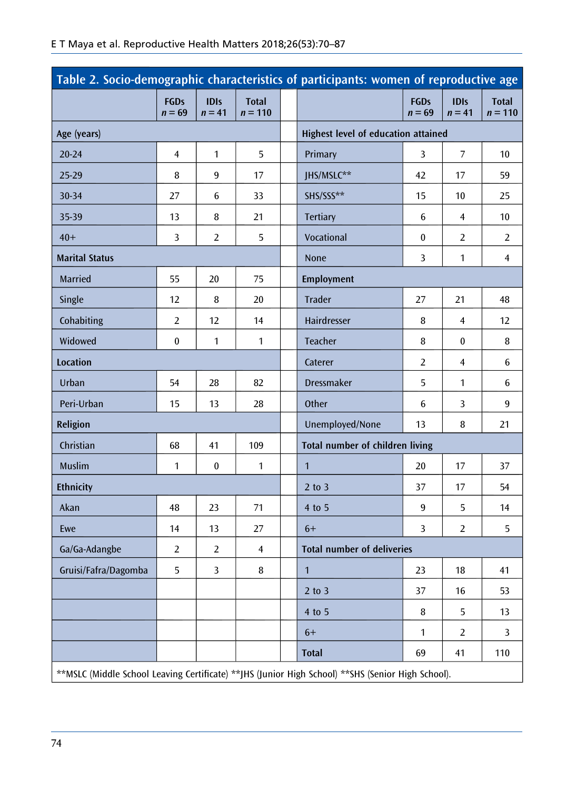<span id="page-5-0"></span>

| Table 2. Socio-demographic characteristics of participants: women of reproductive age                |                         |                         |                           |                                     |                                   |                         |                         |                           |
|------------------------------------------------------------------------------------------------------|-------------------------|-------------------------|---------------------------|-------------------------------------|-----------------------------------|-------------------------|-------------------------|---------------------------|
|                                                                                                      | <b>FGDs</b><br>$n = 69$ | <b>IDIs</b><br>$n = 41$ | <b>Total</b><br>$n = 110$ |                                     |                                   | <b>FGDs</b><br>$n = 69$ | <b>IDIS</b><br>$n = 41$ | <b>Total</b><br>$n = 110$ |
| Age (years)                                                                                          |                         |                         |                           | Highest level of education attained |                                   |                         |                         |                           |
| $20 - 24$                                                                                            | 4                       | $\mathbf{1}$            | 5                         |                                     | Primary                           | 3                       | $\overline{7}$          | 10                        |
| 25-29                                                                                                | 8                       | 9                       | 17                        |                                     | JHS/MSLC**                        | 42                      | 17                      | 59                        |
| 30-34                                                                                                | 27                      | 6                       | 33                        |                                     | SHS/SSS**                         | 15                      | 10                      | 25                        |
| 35-39                                                                                                | 13                      | 8                       | 21                        |                                     | <b>Tertiary</b>                   | 6                       | 4                       | 10                        |
| $40+$                                                                                                | 3                       | $\overline{2}$          | 5                         |                                     | Vocational                        | $\bf{0}$                | 2                       | $\overline{2}$            |
| <b>Marital Status</b>                                                                                |                         |                         |                           |                                     | None                              | 3                       | $\mathbf{1}$            | $\overline{4}$            |
| Married                                                                                              | 55                      | 20                      | 75                        |                                     | <b>Employment</b>                 |                         |                         |                           |
| Single                                                                                               | 12                      | 8                       | 20                        |                                     | <b>Trader</b>                     | 27                      | 21                      | 48                        |
| Cohabiting                                                                                           | $\overline{2}$          | 12                      | 14                        |                                     | Hairdresser                       | 8                       | 4                       | 12                        |
| Widowed                                                                                              | 0                       | $\mathbf{1}$            | 1                         |                                     | Teacher                           | 8                       | $\bf{0}$                | 8                         |
| <b>Location</b>                                                                                      |                         |                         |                           |                                     | Caterer                           | 2                       | 4                       | 6                         |
| Urban                                                                                                | 54                      | 28                      | 82                        |                                     | Dressmaker                        | 5                       | 1                       | 6                         |
| Peri-Urban                                                                                           | 15                      | 13                      | 28                        |                                     | Other                             | 6                       | 3                       | 9                         |
| Religion                                                                                             |                         |                         |                           |                                     | Unemployed/None                   | 13                      | 8                       | 21                        |
| Christian                                                                                            | 68                      | 41                      | 109                       |                                     | Total number of children living   |                         |                         |                           |
| <b>Muslim</b>                                                                                        | 1                       | 0                       | 1                         |                                     | $\mathbf{1}$                      | 20                      | 17                      | 37                        |
| <b>Ethnicity</b>                                                                                     |                         |                         |                           |                                     | $2$ to $3$                        | 37                      | 17                      | 54                        |
| Akan                                                                                                 | 48                      | 23                      | 71                        |                                     | 4 to 5                            | 9                       | 5                       | 14                        |
| Ewe                                                                                                  | 14                      | 13                      | 27                        |                                     | $6+$                              | 3                       | $\overline{2}$          | 5                         |
| Ga/Ga-Adangbe                                                                                        | $\overline{2}$          | $\overline{2}$          | $\overline{4}$            |                                     | <b>Total number of deliveries</b> |                         |                         |                           |
| Gruisi/Fafra/Dagomba                                                                                 | 5.                      | 3                       | 8                         |                                     | $\mathbf{1}$                      | 23                      | $18\,$                  | 41                        |
|                                                                                                      |                         |                         |                           |                                     | $2$ to $3$                        | 37                      | 16                      | 53                        |
|                                                                                                      |                         |                         |                           |                                     | 4 to 5                            | 8                       | 5                       | 13                        |
|                                                                                                      |                         |                         |                           |                                     | $6+$                              | $\mathbf{1}$            | $\overline{2}$          | 3                         |
|                                                                                                      |                         |                         |                           |                                     | <b>Total</b>                      | 69                      | 41                      | 110                       |
| ** MSLC (Middle School Leaving Certificate) ** JHS (Junior High School) ** SHS (Senior High School). |                         |                         |                           |                                     |                                   |                         |                         |                           |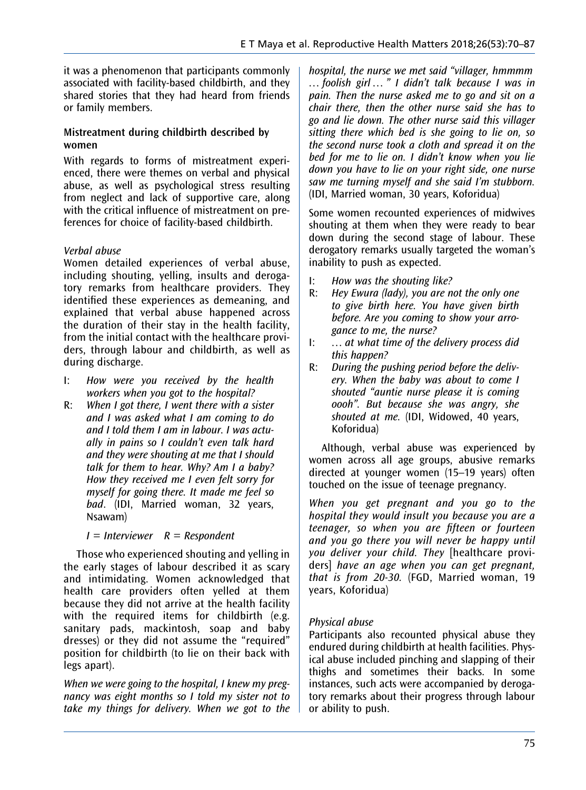it was a phenomenon that participants commonly associated with facility-based childbirth, and they shared stories that they had heard from friends or family members.

#### Mistreatment during childbirth described by women

With regards to forms of mistreatment experienced, there were themes on verbal and physical abuse, as well as psychological stress resulting from neglect and lack of supportive care, along with the critical influence of mistreatment on preferences for choice of facility-based childbirth.

## Verbal abuse

Women detailed experiences of verbal abuse, including shouting, yelling, insults and derogatory remarks from healthcare providers. They identified these experiences as demeaning, and explained that verbal abuse happened across the duration of their stay in the health facility, from the initial contact with the healthcare providers, through labour and childbirth, as well as during discharge.

- I: How were you received by the health workers when you got to the hospital?
- R: When I got there, I went there with a sister and I was asked what I am coming to do and I told them I am in labour. I was actually in pains so I couldn't even talk hard and they were shouting at me that I should talk for them to hear. Why? Am I a baby? How they received me I even felt sorry for myself for going there. It made me feel so bad. (IDI, Married woman, 32 years, Nsawam)

## $I =$  Interviewer  $R =$  Respondent

Those who experienced shouting and yelling in the early stages of labour described it as scary and intimidating. Women acknowledged that health care providers often yelled at them because they did not arrive at the health facility with the required items for childbirth (e.g. sanitary pads, mackintosh, soap and baby dresses) or they did not assume the "required" position for childbirth (to lie on their back with legs apart).

When we were going to the hospital, I knew my pregnancy was eight months so I told my sister not to take my things for delivery. When we got to the hospital, the nurse we met said "villager, hmmmm … foolish girl … " I didn't talk because I was in pain. Then the nurse asked me to go and sit on a chair there, then the other nurse said she has to go and lie down. The other nurse said this villager sitting there which bed is she going to lie on, so the second nurse took a cloth and spread it on the bed for me to lie on. I didn't know when you lie down you have to lie on your right side, one nurse saw me turning myself and she said I'm stubborn. (IDI, Married woman, 30 years, Koforidua)

Some women recounted experiences of midwives shouting at them when they were ready to bear down during the second stage of labour. These derogatory remarks usually targeted the woman's inability to push as expected.

- I: How was the shouting like?
- R: Hey Ewura (lady), you are not the only one to give birth here. You have given birth before. Are you coming to show your arrogance to me, the nurse?
- I: … at what time of the delivery process did this happen?
- R: During the pushing period before the delivery. When the baby was about to come I shouted "auntie nurse please it is coming oooh". But because she was angry, she shouted at me. (IDI, Widowed, 40 years, Koforidua)

Although, verbal abuse was experienced by women across all age groups, abusive remarks directed at younger women (15–19 years) often touched on the issue of teenage pregnancy.

When you get pregnant and you go to the hospital they would insult you because you are a teenager, so when you are fifteen or fourteen and you go there you will never be happy until you deliver your child. They [healthcare providers] have an age when you can get pregnant, that is from 20-30. (FGD, Married woman, 19 years, Koforidua)

## Physical abuse

Participants also recounted physical abuse they endured during childbirth at health facilities. Physical abuse included pinching and slapping of their thighs and sometimes their backs. In some instances, such acts were accompanied by derogatory remarks about their progress through labour or ability to push.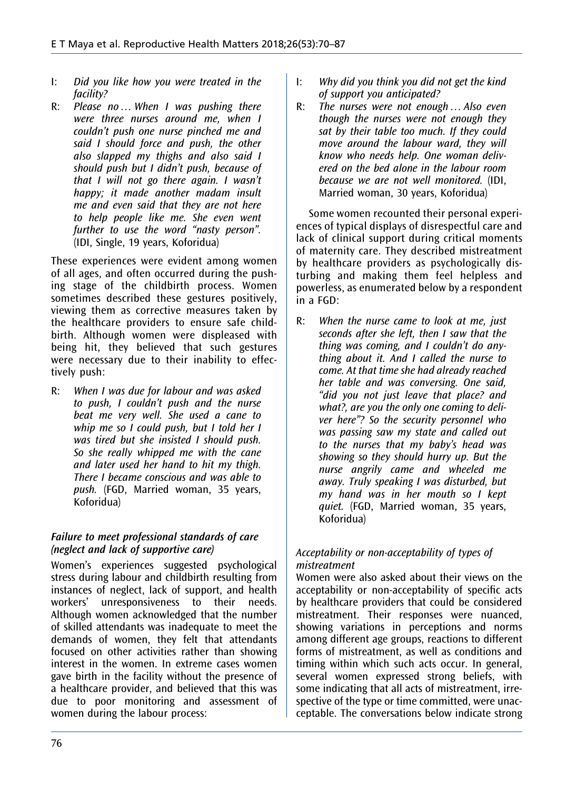- I: Did you like how you were treated in the facility?
- R: Please no … When I was pushing there were three nurses around me, when I couldn't push one nurse pinched me and said I should force and push, the other also slapped my thighs and also said I should push but I didn't push, because of that I will not go there again. I wasn't happy; it made another madam insult me and even said that they are not here to help people like me. She even went further to use the word "nasty person". (IDI, Single, 19 years, Koforidua)

These experiences were evident among women of all ages, and often occurred during the pushing stage of the childbirth process. Women sometimes described these gestures positively, viewing them as corrective measures taken by the healthcare providers to ensure safe childbirth. Although women were displeased with being hit, they believed that such gestures were necessary due to their inability to effectively push:

R: When I was due for labour and was asked to push, I couldn't push and the nurse beat me very well. She used a cane to whip me so I could push, but I told her I was tired but she insisted I should push. So she really whipped me with the cane and later used her hand to hit my thigh. There I became conscious and was able to push. (FGD, Married woman, 35 years, Koforidua)

## Failure to meet professional standards of care (neglect and lack of supportive care)

Women's experiences suggested psychological stress during labour and childbirth resulting from instances of neglect, lack of support, and health workers' unresponsiveness to their needs. Although women acknowledged that the number of skilled attendants was inadequate to meet the demands of women, they felt that attendants focused on other activities rather than showing interest in the women. In extreme cases women gave birth in the facility without the presence of a healthcare provider, and believed that this was due to poor monitoring and assessment of women during the labour process:

- I: Why did you think you did not get the kind of support you anticipated?
- R: The nurses were not enough … Also even though the nurses were not enough they sat by their table too much. If they could move around the labour ward, they will know who needs help. One woman delivered on the bed alone in the labour room because we are not well monitored. (IDI, Married woman, 30 years, Koforidua)

Some women recounted their personal experiences of typical displays of disrespectful care and lack of clinical support during critical moments of maternity care. They described mistreatment by healthcare providers as psychologically disturbing and making them feel helpless and powerless, as enumerated below by a respondent in a FGD:

R: When the nurse came to look at me, just seconds after she left, then I saw that the thing was coming, and I couldn't do anything about it. And I called the nurse to come. At that time she had already reached her table and was conversing. One said, "did you not just leave that place? and what?, are you the only one coming to deliver here"? So the security personnel who was passing saw my state and called out to the nurses that my baby's head was showing so they should hurry up. But the nurse angrily came and wheeled me away. Truly speaking I was disturbed, but my hand was in her mouth so I kept quiet. (FGD, Married woman, 35 years, Koforidua)

## Acceptability or non-acceptability of types of mistreatment

Women were also asked about their views on the acceptability or non-acceptability of specific acts by healthcare providers that could be considered mistreatment. Their responses were nuanced, showing variations in perceptions and norms among different age groups, reactions to different forms of mistreatment, as well as conditions and timing within which such acts occur. In general, several women expressed strong beliefs, with some indicating that all acts of mistreatment, irrespective of the type or time committed, were unacceptable. The conversations below indicate strong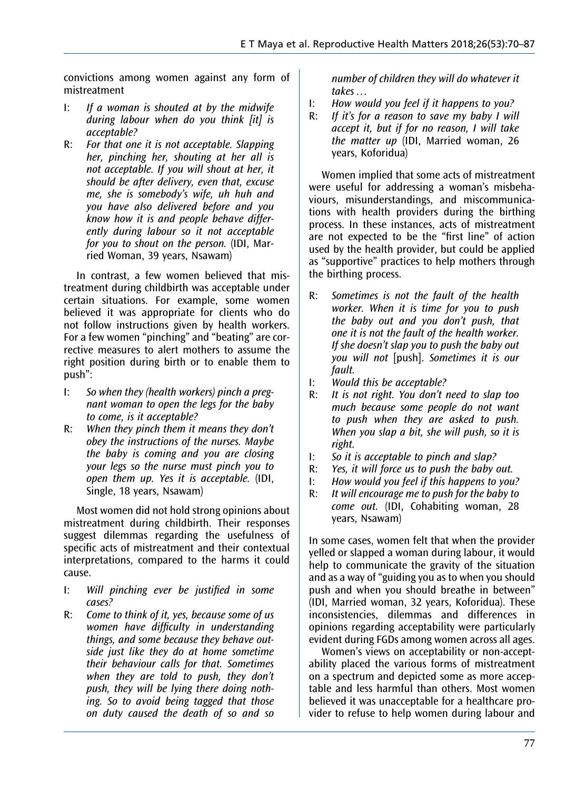convictions among women against any form of mistreatment

- I: If a woman is shouted at by the midwife during labour when do you think [it] is acceptable?
- R: For that one it is not acceptable. Slapping her, pinching her, shouting at her all is not acceptable. If you will shout at her, it should be after delivery, even that, excuse me, she is somebody's wife, uh huh and you have also delivered before and you know how it is and people behave differently during labour so it not acceptable for you to shout on the person. (IDI, Married Woman, 39 years, Nsawam)

In contrast, a few women believed that mistreatment during childbirth was acceptable under certain situations. For example, some women believed it was appropriate for clients who do not follow instructions given by health workers. For a few women "pinching" and "beating" are corrective measures to alert mothers to assume the right position during birth or to enable them to push":

- I: So when they (health workers) pinch a pregnant woman to open the legs for the baby to come, is it acceptable?
- R: When they pinch them it means they don't obey the instructions of the nurses. Maybe the baby is coming and you are closing your legs so the nurse must pinch you to open them up. Yes it is acceptable. (IDI, Single, 18 years, Nsawam)

Most women did not hold strong opinions about mistreatment during childbirth. Their responses suggest dilemmas regarding the usefulness of specific acts of mistreatment and their contextual interpretations, compared to the harms it could cause.

- I: Will pinching ever be justified in some cases?
- R: Come to think of it, yes, because some of us women have difficulty in understanding things, and some because they behave outside just like they do at home sometime their behaviour calls for that. Sometimes when they are told to push, they don't push, they will be lying there doing nothing. So to avoid being tagged that those on duty caused the death of so and so

number of children they will do whatever it takes …

- I: How would you feel if it happens to you?
- R: If it's for a reason to save my baby I will accept it, but if for no reason, I will take the matter up (IDI, Married woman, 26 years, Koforidua)

Women implied that some acts of mistreatment were useful for addressing a woman's misbehaviours, misunderstandings, and miscommunications with health providers during the birthing process. In these instances, acts of mistreatment are not expected to be the "first line" of action used by the health provider, but could be applied as "supportive" practices to help mothers through the birthing process.

- R: Sometimes is not the fault of the health worker. When it is time for you to push the baby out and you don't push, that one it is not the fault of the health worker. If she doesn't slap you to push the baby out you will not [push]. Sometimes it is our fault.
- I: Would this be acceptable?
- R: It is not right. You don't need to slap too much because some people do not want to push when they are asked to push. When you slap a bit, she will push, so it is right.
- I: So it is acceptable to pinch and slap?
- R: Yes, it will force us to push the baby out.
- I: How would you feel if this happens to you?
- R: It will encourage me to push for the baby to come out. (IDI, Cohabiting woman, 28 years, Nsawam)

In some cases, women felt that when the provider yelled or slapped a woman during labour, it would help to communicate the gravity of the situation and as a way of "guiding you as to when you should push and when you should breathe in between" (IDI, Married woman, 32 years, Koforidua). These inconsistencies, dilemmas and differences in opinions regarding acceptability were particularly evident during FGDs among women across all ages.

Women's views on acceptability or non-acceptability placed the various forms of mistreatment on a spectrum and depicted some as more acceptable and less harmful than others. Most women believed it was unacceptable for a healthcare provider to refuse to help women during labour and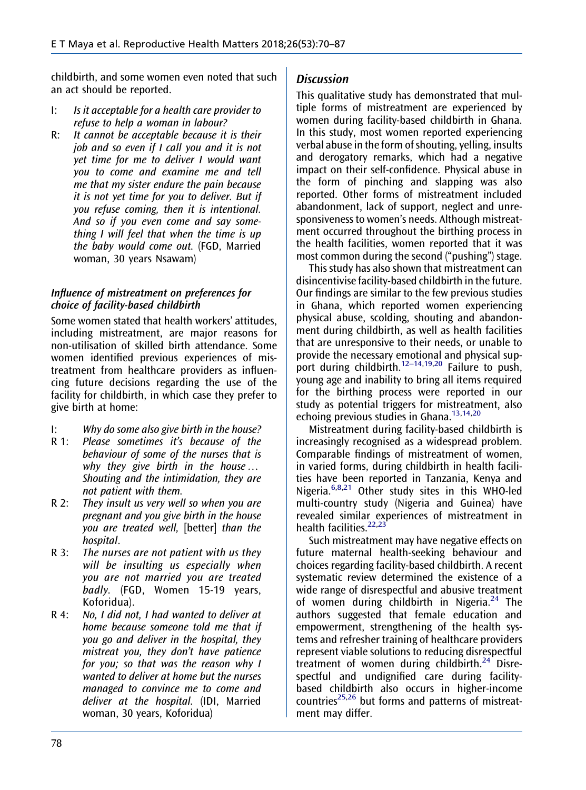<span id="page-9-0"></span>childbirth, and some women even noted that such an act should be reported.

- I: Is it acceptable for a health care provider to refuse to help a woman in labour?
- R: It cannot be acceptable because it is their job and so even if I call you and it is not yet time for me to deliver I would want you to come and examine me and tell me that my sister endure the pain because it is not yet time for you to deliver. But if you refuse coming, then it is intentional. And so if you even come and say something I will feel that when the time is up the baby would come out. (FGD, Married woman, 30 years Nsawam)

#### Influence of mistreatment on preferences for choice of facility-based childbirth

Some women stated that health workers' attitudes, including mistreatment, are major reasons for non-utilisation of skilled birth attendance. Some women identified previous experiences of mistreatment from healthcare providers as influencing future decisions regarding the use of the facility for childbirth, in which case they prefer to give birth at home:

- I: Why do some also give birth in the house?
- R 1: Please sometimes it's because of the behaviour of some of the nurses that is why they give birth in the house... Shouting and the intimidation, they are not patient with them.
- R 2: They insult us very well so when you are pregnant and you give birth in the house you are treated well, [better] than the hospital.
- R 3: The nurses are not patient with us they will be insulting us especially when you are not married you are treated badly. (FGD, Women 15-19 years, Koforidua).
- R 4: No, I did not, I had wanted to deliver at home because someone told me that if you go and deliver in the hospital, they mistreat you, they don't have patience for you; so that was the reason why I wanted to deliver at home but the nurses managed to convince me to come and deliver at the hospital. (IDI, Married woman, 30 years, Koforidua)

## **Discussion**

This qualitative study has demonstrated that multiple forms of mistreatment are experienced by women during facility-based childbirth in Ghana. In this study, most women reported experiencing verbal abuse in the form of shouting, yelling, insults and derogatory remarks, which had a negative impact on their self-confidence. Physical abuse in the form of pinching and slapping was also reported. Other forms of mistreatment included abandonment, lack of support, neglect and unresponsiveness to women's needs. Although mistreatment occurred throughout the birthing process in the health facilities, women reported that it was most common during the second ("pushing") stage.

This study has also shown that mistreatment can disincentivise facility-based childbirth in the future. Our findings are similar to the few previous studies in Ghana, which reported women experiencing physical abuse, scolding, shouting and abandonment during childbirth, as well as health facilities that are unresponsive to their needs, or unable to provide the necessary emotional and physical sup-port during childbirth.<sup>12–14[,19,20](#page-13-0)</sup> Failure to push, young age and inability to bring all items required for the birthing process were reported in our study as potential triggers for mistreatment, also echoing previous studies in Ghana.<sup>[13,14,](#page-12-0)[20](#page-13-0)</sup>

Mistreatment during facility-based childbirth is increasingly recognised as a widespread problem. Comparable findings of mistreatment of women, in varied forms, during childbirth in health facilities have been reported in Tanzania, Kenya and Nigeria.[6,8,](#page-12-0)[21](#page-13-0) Other study sites in this WHO-led multi-country study (Nigeria and Guinea) have revealed similar experiences of mistreatment in health facilities<sup>[22,23](#page-13-0)</sup>

Such mistreatment may have negative effects on future maternal health-seeking behaviour and choices regarding facility-based childbirth. A recent systematic review determined the existence of a wide range of disrespectful and abusive treatment of women during childbirth in Nigeria.<sup>[24](#page-13-0)</sup> The authors suggested that female education and empowerment, strengthening of the health systems and refresher training of healthcare providers represent viable solutions to reducing disrespectful treatment of women during childbirth. $24$  Disrespectful and undignified care during facilitybased childbirth also occurs in higher-income countries<sup>[25,26](#page-13-0)</sup> but forms and patterns of mistreatment may differ.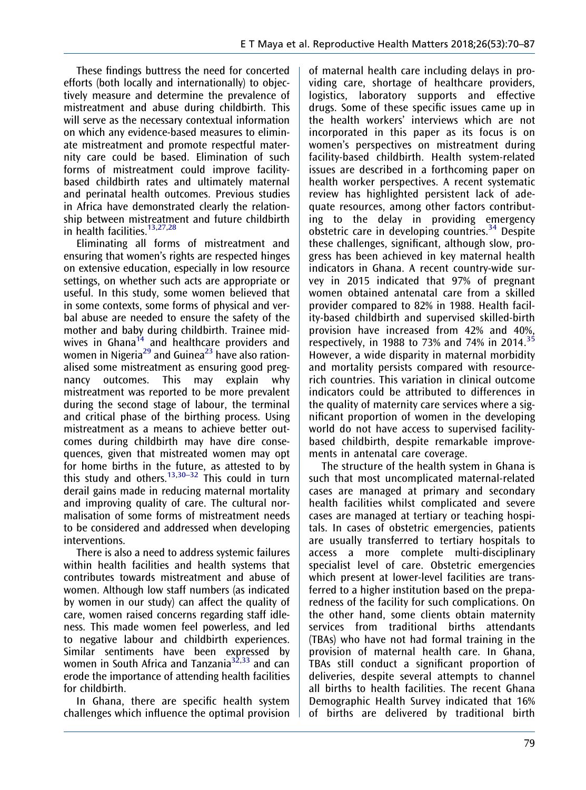<span id="page-10-0"></span>These findings buttress the need for concerted efforts (both locally and internationally) to objectively measure and determine the prevalence of mistreatment and abuse during childbirth. This will serve as the necessary contextual information on which any evidence-based measures to eliminate mistreatment and promote respectful maternity care could be based. Elimination of such forms of mistreatment could improve facilitybased childbirth rates and ultimately maternal and perinatal health outcomes. Previous studies in Africa have demonstrated clearly the relationship between mistreatment and future childbirth in health facilities.  $13,27,28$  $13,27,28$ 

Eliminating all forms of mistreatment and ensuring that women's rights are respected hinges on extensive education, especially in low resource settings, on whether such acts are appropriate or useful. In this study, some women believed that in some contexts, some forms of physical and verbal abuse are needed to ensure the safety of the mother and baby during childbirth. Trainee midwives in  $Ghan<sup>14</sup>$  $Ghan<sup>14</sup>$  $Ghan<sup>14</sup>$  and healthcare providers and women in Nigeria<sup>[29](#page-13-0)</sup> and Guinea<sup>[23](#page-13-0)</sup> have also rationalised some mistreatment as ensuring good pregnancy outcomes. This may explain why mistreatment was reported to be more prevalent during the second stage of labour, the terminal and critical phase of the birthing process. Using mistreatment as a means to achieve better outcomes during childbirth may have dire consequences, given that mistreated women may opt for home births in the future, as attested to by this study and others.<sup>[13](#page-12-0),30–32</sup> This could in turn derail gains made in reducing maternal mortality and improving quality of care. The cultural normalisation of some forms of mistreatment needs to be considered and addressed when developing interventions.

There is also a need to address systemic failures within health facilities and health systems that contributes towards mistreatment and abuse of women. Although low staff numbers (as indicated by women in our study) can affect the quality of care, women raised concerns regarding staff idleness. This made women feel powerless, and led to negative labour and childbirth experiences. Similar sentiments have been expressed by women in South Africa and Tanzania<sup>[32,33](#page-13-0)</sup> and can erode the importance of attending health facilities for childbirth.

In Ghana, there are specific health system challenges which influence the optimal provision of maternal health care including delays in providing care, shortage of healthcare providers, logistics, laboratory supports and effective drugs. Some of these specific issues came up in the health workers' interviews which are not incorporated in this paper as its focus is on women's perspectives on mistreatment during facility-based childbirth. Health system-related issues are described in a forthcoming paper on health worker perspectives. A recent systematic review has highlighted persistent lack of adequate resources, among other factors contributing to the delay in providing emergency obstetric care in developing countries.<sup>[34](#page-13-0)</sup> Despite these challenges, significant, although slow, progress has been achieved in key maternal health indicators in Ghana. A recent country-wide survey in 2015 indicated that 97% of pregnant women obtained antenatal care from a skilled provider compared to 82% in 1988. Health facility-based childbirth and supervised skilled-birth provision have increased from 42% and 40%, respectively, in 1988 to 73% and 74% in 2014.[35](#page-13-0) However, a wide disparity in maternal morbidity and mortality persists compared with resourcerich countries. This variation in clinical outcome indicators could be attributed to differences in the quality of maternity care services where a significant proportion of women in the developing world do not have access to supervised facilitybased childbirth, despite remarkable improvements in antenatal care coverage.

The structure of the health system in Ghana is such that most uncomplicated maternal-related cases are managed at primary and secondary health facilities whilst complicated and severe cases are managed at tertiary or teaching hospitals. In cases of obstetric emergencies, patients are usually transferred to tertiary hospitals to access a more complete multi-disciplinary specialist level of care. Obstetric emergencies which present at lower-level facilities are transferred to a higher institution based on the preparedness of the facility for such complications. On the other hand, some clients obtain maternity services from traditional births attendants (TBAs) who have not had formal training in the provision of maternal health care. In Ghana, TBAs still conduct a significant proportion of deliveries, despite several attempts to channel all births to health facilities. The recent Ghana Demographic Health Survey indicated that 16% of births are delivered by traditional birth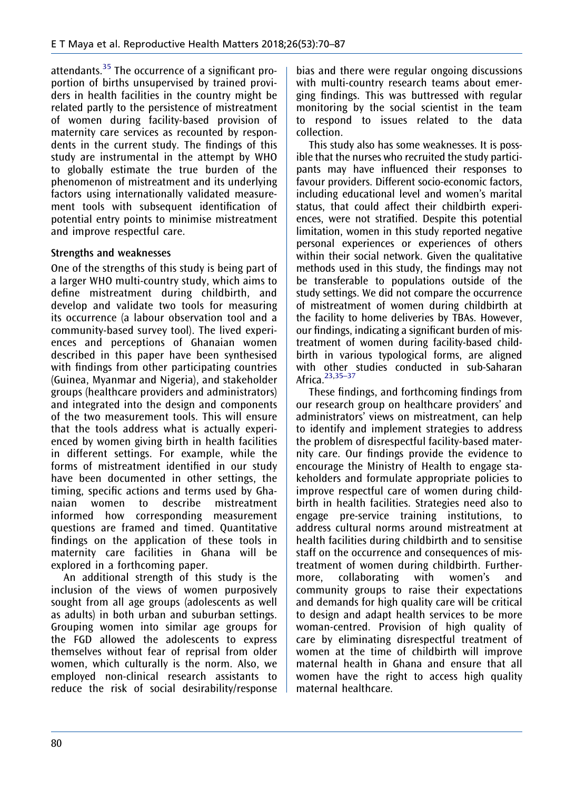attendants.[35](#page-13-0) The occurrence of a significant proportion of births unsupervised by trained providers in health facilities in the country might be related partly to the persistence of mistreatment of women during facility-based provision of maternity care services as recounted by respondents in the current study. The findings of this study are instrumental in the attempt by WHO to globally estimate the true burden of the phenomenon of mistreatment and its underlying factors using internationally validated measurement tools with subsequent identification of potential entry points to minimise mistreatment and improve respectful care.

## Strengths and weaknesses

One of the strengths of this study is being part of a larger WHO multi-country study, which aims to define mistreatment during childbirth, and develop and validate two tools for measuring its occurrence (a labour observation tool and a community-based survey tool). The lived experiences and perceptions of Ghanaian women described in this paper have been synthesised with findings from other participating countries (Guinea, Myanmar and Nigeria), and stakeholder groups (healthcare providers and administrators) and integrated into the design and components of the two measurement tools. This will ensure that the tools address what is actually experienced by women giving birth in health facilities in different settings. For example, while the forms of mistreatment identified in our study have been documented in other settings, the timing, specific actions and terms used by Ghanaian women to describe mistreatment informed how corresponding measurement questions are framed and timed. Quantitative findings on the application of these tools in maternity care facilities in Ghana will be explored in a forthcoming paper.

An additional strength of this study is the inclusion of the views of women purposively sought from all age groups (adolescents as well as adults) in both urban and suburban settings. Grouping women into similar age groups for the FGD allowed the adolescents to express themselves without fear of reprisal from older women, which culturally is the norm. Also, we employed non-clinical research assistants to reduce the risk of social desirability/response

bias and there were regular ongoing discussions with multi-country research teams about emerging findings. This was buttressed with regular monitoring by the social scientist in the team to respond to issues related to the data collection.

This study also has some weaknesses. It is possible that the nurses who recruited the study participants may have influenced their responses to favour providers. Different socio-economic factors, including educational level and women's marital status, that could affect their childbirth experiences, were not stratified. Despite this potential limitation, women in this study reported negative personal experiences or experiences of others within their social network. Given the qualitative methods used in this study, the findings may not be transferable to populations outside of the study settings. We did not compare the occurrence of mistreatment of women during childbirth at the facility to home deliveries by TBAs. However, our findings, indicating a significant burden of mistreatment of women during facility-based childbirth in various typological forms, are aligned with other studies conducted in sub-Saharan Africa. $23,35-37$  $23,35-37$ 

These findings, and forthcoming findings from our research group on healthcare providers' and administrators' views on mistreatment, can help to identify and implement strategies to address the problem of disrespectful facility-based maternity care. Our findings provide the evidence to encourage the Ministry of Health to engage stakeholders and formulate appropriate policies to improve respectful care of women during childbirth in health facilities. Strategies need also to engage pre-service training institutions, to address cultural norms around mistreatment at health facilities during childbirth and to sensitise staff on the occurrence and consequences of mistreatment of women during childbirth. Furthermore, collaborating with women's and community groups to raise their expectations and demands for high quality care will be critical to design and adapt health services to be more woman-centred. Provision of high quality of care by eliminating disrespectful treatment of women at the time of childbirth will improve maternal health in Ghana and ensure that all women have the right to access high quality maternal healthcare.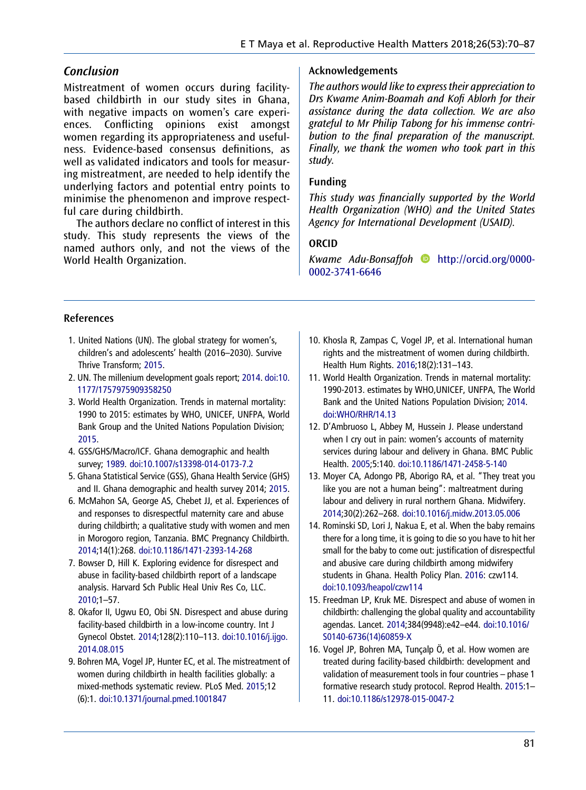## <span id="page-12-0"></span>Conclusion

Mistreatment of women occurs during facilitybased childbirth in our study sites in Ghana, with negative impacts on women's care experiences. Conflicting opinions exist amongst women regarding its appropriateness and usefulness. Evidence-based consensus definitions, as well as validated indicators and tools for measuring mistreatment, are needed to help identify the underlying factors and potential entry points to minimise the phenomenon and improve respectful care during childbirth.

The authors declare no conflict of interest in this study. This study represents the views of the named authors only, and not the views of the World Health Organization.

#### Acknowledgements

The authors would like to express their appreciation to Drs Kwame Anim-Boamah and Kofi Ablorh for their assistance during the data collection. We are also grateful to Mr Philip Tabong for his immense contribution to the final preparation of the manuscript. Finally, we thank the women who took part in this study.

#### Funding

This study was financially supported by the World Health Organization (WHO) and the United States Agency for International Development (USAID).

#### ORCID

Kwame Adu-Bonsaffoh **b** [http://orcid.org/0000-](http://orcid.org/0000-0002-3741-6646) [0002-3741-6646](http://orcid.org/0000-0002-3741-6646)

#### References

- 1. United Nations (UN). The global strategy for women's, children's and adolescents' health (2016–2030). Survive Thrive Transform; [2015.](#page-1-0)
- 2. UN. The millenium development goals report; [2014.](#page-1-0) [doi:10.](https://doi.org/10.1177/1757975909358250) [1177/1757975909358250](https://doi.org/10.1177/1757975909358250)
- 3. World Health Organization. Trends in maternal mortality: 1990 to 2015: estimates by WHO, UNICEF, UNFPA, World Bank Group and the United Nations Population Division; [2015.](#page-1-0)
- 4. GSS/GHS/Macro/ICF. Ghana demographic and health survey; [1989.](#page-2-0) [doi:10.1007/s13398-014-0173-7.2](https://doi.org/10.1007/s13398-014-0173-7.2)
- 5. Ghana Statistical Service (GSS), Ghana Health Service (GHS) and II. Ghana demographic and health survey 2014; [2015.](#page-2-0)
- 6. McMahon SA, George AS, Chebet JJ, et al. Experiences of and responses to disrespectful maternity care and abuse during childbirth; a qualitative study with women and men in Morogoro region, Tanzania. BMC Pregnancy Childbirth. [2014;](#page-2-0)14(1):268. [doi:10.1186/1471-2393-14-268](https://doi.org/10.1186/1471-2393-14-268)
- 7. Bowser D, Hill K. Exploring evidence for disrespect and abuse in facility-based childbirth report of a landscape analysis. Harvard Sch Public Heal Univ Res Co, LLC. [2010;](#page-2-0)1–57.
- 8. Okafor II, Ugwu EO, Obi SN. Disrespect and abuse during facility-based childbirth in a low-income country. Int J Gynecol Obstet. [2014;](#page-9-0)128(2):110–113. [doi:10.1016/j.ijgo.](https://doi.org/10.1016/j.ijgo.2014.08.015) [2014.08.015](https://doi.org/10.1016/j.ijgo.2014.08.015)
- 9. Bohren MA, Vogel JP, Hunter EC, et al. The mistreatment of women during childbirth in health facilities globally: a mixed-methods systematic review. PLoS Med. [2015;](#page-2-0)12 (6):1. [doi:10.1371/journal.pmed.1001847](https://doi.org/10.1371/journal.pmed.1001847)
- 10. Khosla R, Zampas C, Vogel JP, et al. International human rights and the mistreatment of women during childbirth. Health Hum Rights. [2016;](#page-2-0)18(2):131–143.
- 11. World Health Organization. Trends in maternal mortality: 1990-2013. estimates by WHO,UNICEF, UNFPA, The World Bank and the United Nations Population Division; [2014.](#page-2-0) [doi:WHO/RHR/14.13](https://doi.org/WHO/RHR/14.13)
- 12. D'Ambruoso L, Abbey M, Hussein J. Please understand when I cry out in pain: women's accounts of maternity services during labour and delivery in Ghana. BMC Public Health. [2005](#page-2-0);5:140. [doi:10.1186/1471-2458-5-140](https://doi.org/10.1186/1471-2458-5-140)
- 13. Moyer CA, Adongo PB, Aborigo RA, et al. "They treat you like you are not a human being": maltreatment during labour and delivery in rural northern Ghana. Midwifery. [2014;](#page-2-0)30(2):262–268. [doi:10.1016/j.midw.2013.05.006](https://doi.org/10.1016/j.midw.2013.05.006)
- 14. Rominski SD, Lori J, Nakua E, et al. When the baby remains there for a long time, it is going to die so you have to hit her small for the baby to come out: justification of disrespectful and abusive care during childbirth among midwifery students in Ghana. Health Policy Plan. [2016](#page-2-0): czw114. [doi:10.1093/heapol/czw114](https://doi.org/10.1093/heapol/czw114)
- 15. Freedman LP, Kruk ME. Disrespect and abuse of women in childbirth: challenging the global quality and accountability agendas. Lancet. [2014;](#page-2-0)384(9948):e42–e44. [doi:10.1016/](https://doi.org/10.1016/S0140-6736(14)60859-X) [S0140-6736\(14\)60859-X](https://doi.org/10.1016/S0140-6736(14)60859-X)
- 16. Vogel JP, Bohren MA, Tunçalp Ö, et al. How women are treated during facility-based childbirth: development and validation of measurement tools in four countries – phase 1 formative research study protocol. Reprod Health. [2015:](#page-2-0)1– 11. [doi:10.1186/s12978-015-0047-2](https://doi.org/10.1186/s12978-015-0047-2)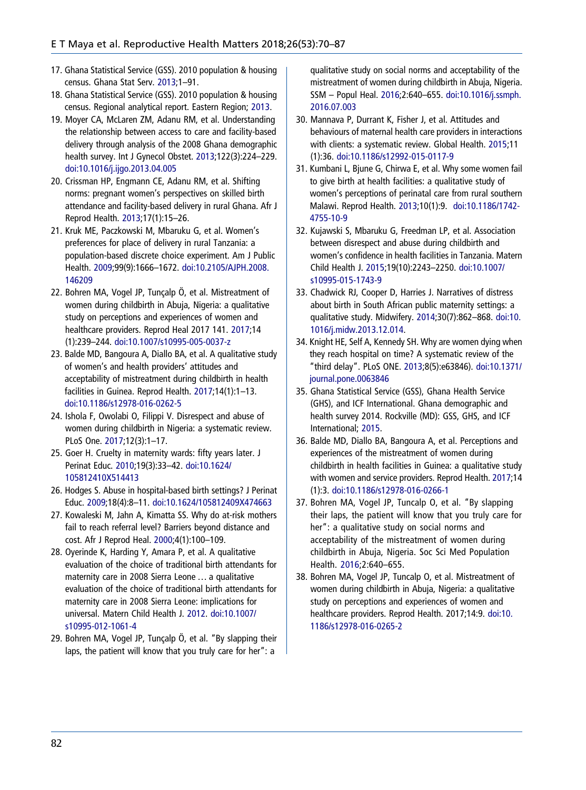- <span id="page-13-0"></span>17. Ghana Statistical Service (GSS). 2010 population & housing census. Ghana Stat Serv. [2013;](#page-2-0)1–91.
- 18. Ghana Statistical Service (GSS). 2010 population & housing census. Regional analytical report. Eastern Region; [2013](#page-3-0).
- 19. Moyer CA, McLaren ZM, Adanu RM, et al. Understanding the relationship between access to care and facility-based delivery through analysis of the 2008 Ghana demographic health survey. Int J Gynecol Obstet. [2013;](#page-9-0)122(3):224–229. [doi:10.1016/j.ijgo.2013.04.005](https://doi.org/10.1016/j.ijgo.2013.04.005)
- 20. Crissman HP, Engmann CE, Adanu RM, et al. Shifting norms: pregnant women's perspectives on skilled birth attendance and facility-based delivery in rural Ghana. Afr J Reprod Health. [2013](#page-9-0);17(1):15–26.
- 21. Kruk ME, Paczkowski M, Mbaruku G, et al. Women's preferences for place of delivery in rural Tanzania: a population-based discrete choice experiment. Am J Public Health. [2009;](#page-9-0)99(9):1666–1672. [doi:10.2105/AJPH.2008.](https://doi.org/10.2105/AJPH.2008.146209) [146209](https://doi.org/10.2105/AJPH.2008.146209)
- 22. Bohren MA, Vogel JP, Tunçalp Ö, et al. Mistreatment of women during childbirth in Abuja, Nigeria: a qualitative study on perceptions and experiences of women and healthcare providers. Reprod Heal 2017 141. [2017](#page-9-0);14 (1):239–244. [doi:10.1007/s10995-005-0037-z](https://doi.org/10.1007/s10995-005-0037-z)
- 23. Balde MD, Bangoura A, Diallo BA, et al. A qualitative study of women's and health providers' attitudes and acceptability of mistreatment during childbirth in health facilities in Guinea. Reprod Health. [2017](#page-9-0);14(1):1–13. [doi:10.1186/s12978-016-0262-5](https://doi.org/10.1186/s12978-016-0262-5)
- 24. Ishola F, Owolabi O, Filippi V. Disrespect and abuse of women during childbirth in Nigeria: a systematic review. PLoS One. [2017;](#page-9-0)12(3):1–17.
- 25. Goer H. Cruelty in maternity wards: fifty years later. J Perinat Educ. [2010](#page-9-0);19(3):33–42. [doi:10.1624/](https://doi.org/10.1624/105812410X514413) [105812410X514413](https://doi.org/10.1624/105812410X514413)
- 26. Hodges S. Abuse in hospital-based birth settings? J Perinat Educ. [2009;](#page-9-0)18(4):8–11. [doi:10.1624/105812409X474663](https://doi.org/10.1624/105812409X474663)
- 27. Kowaleski M, Jahn A, Kimatta SS. Why do at-risk mothers fail to reach referral level? Barriers beyond distance and cost. Afr J Reprod Heal. [2000;](#page-10-0)4(1):100–109.
- 28. Oyerinde K, Harding Y, Amara P, et al. A qualitative evaluation of the choice of traditional birth attendants for maternity care in 2008 Sierra Leone … a qualitative evaluation of the choice of traditional birth attendants for maternity care in 2008 Sierra Leone: implications for universal. Matern Child Health J. [2012.](#page-10-0) [doi:10.1007/](https://doi.org/10.1007/s10995-012-1061-4) [s10995-012-1061-4](https://doi.org/10.1007/s10995-012-1061-4)
- 29. Bohren MA, Vogel JP, Tunçalp Ö, et al. "By slapping their laps, the patient will know that you truly care for her": a

qualitative study on social norms and acceptability of the mistreatment of women during childbirth in Abuja, Nigeria. SSM – Popul Heal. [2016;](#page-10-0)2:640–655. [doi:10.1016/j.ssmph.](https://doi.org/10.1016/j.ssmph.2016.07.003) [2016.07.003](https://doi.org/10.1016/j.ssmph.2016.07.003)

- 30. Mannava P, Durrant K, Fisher J, et al. Attitudes and behaviours of maternal health care providers in interactions with clients: a systematic review. Global Health. [2015](#page-10-0);11 (1):36. [doi:10.1186/s12992-015-0117-9](https://doi.org/10.1186/s12992-015-0117-9)
- 31. Kumbani L, Bjune G, Chirwa E, et al. Why some women fail to give birth at health facilities: a qualitative study of women's perceptions of perinatal care from rural southern Malawi. Reprod Health. 2013;10(1):9. [doi:10.1186/1742-](https://doi.org/10.1186/1742-4755-10-9) [4755-10-9](https://doi.org/10.1186/1742-4755-10-9)
- 32. Kujawski S, Mbaruku G, Freedman LP, et al. Association between disrespect and abuse during childbirth and women's confidence in health facilities in Tanzania. Matern Child Health J. [2015](#page-10-0);19(10):2243–2250. [doi:10.1007/](https://doi.org/10.1007/s10995-015-1743-9) [s10995-015-1743-9](https://doi.org/10.1007/s10995-015-1743-9)
- 33. Chadwick RJ, Cooper D, Harries J. Narratives of distress about birth in South African public maternity settings: a qualitative study. Midwifery. [2014](#page-10-0);30(7):862–868. [doi:10.](https://doi.org/10.1016/j.midw.2013.12.014) [1016/j.midw.2013.12.014](https://doi.org/10.1016/j.midw.2013.12.014).
- 34. Knight HE, Self A, Kennedy SH. Why are women dying when they reach hospital on time? A systematic review of the "third delay". PLoS ONE. [2013](#page-10-0);8(5):e63846). [doi:10.1371/](https://doi.org/10.1371/journal.pone.0063846) [journal.pone.0063846](https://doi.org/10.1371/journal.pone.0063846)
- 35. Ghana Statistical Service (GSS), Ghana Health Service (GHS), and ICF International. Ghana demographic and health survey 2014. Rockville (MD): GSS, GHS, and ICF International; [2015](#page-10-0).
- 36. Balde MD, Diallo BA, Bangoura A, et al. Perceptions and experiences of the mistreatment of women during childbirth in health facilities in Guinea: a qualitative study with women and service providers. Reprod Health. 2017;14 (1):3. [doi:10.1186/s12978-016-0266-1](https://doi.org/10.1186/s12978-016-0266-1)
- 37. Bohren MA, Vogel JP, Tuncalp O, et al. "By slapping their laps, the patient will know that you truly care for her": a qualitative study on social norms and acceptability of the mistreatment of women during childbirth in Abuja, Nigeria. Soc Sci Med Population Health. 2016;2:640–655.
- 38. Bohren MA, Vogel JP, Tuncalp O, et al. Mistreatment of women during childbirth in Abuja, Nigeria: a qualitative study on perceptions and experiences of women and healthcare providers. Reprod Health. 2017;14:9. [doi:10.](https://doi.org/10.1186/s12978-016-0265-2) [1186/s12978-016-0265-2](https://doi.org/10.1186/s12978-016-0265-2)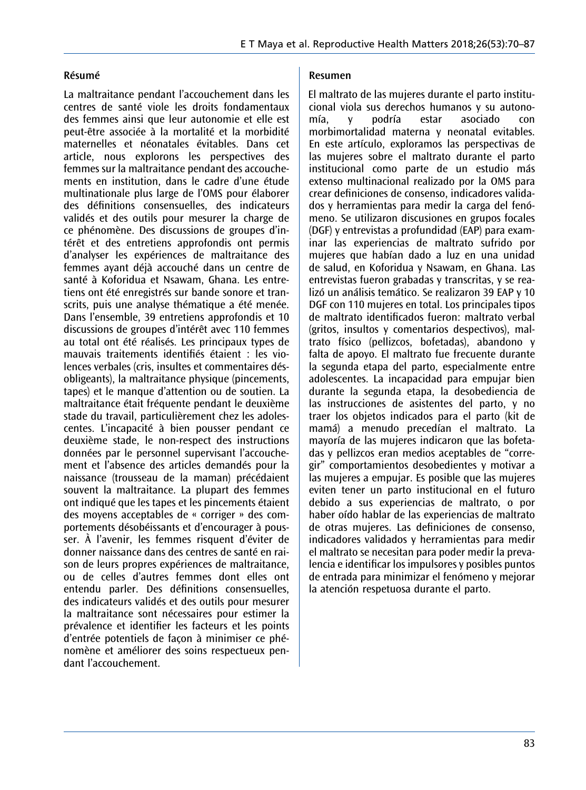#### Résumé

La maltraitance pendant l'accouchement dans les centres de santé viole les droits fondamentaux des femmes ainsi que leur autonomie et elle est peut-être associée à la mortalité et la morbidité maternelles et néonatales évitables. Dans cet article, nous explorons les perspectives des femmes sur la maltraitance pendant des accouchements en institution, dans le cadre d'une étude multinationale plus large de l'OMS pour élaborer des définitions consensuelles, des indicateurs validés et des outils pour mesurer la charge de ce phénomène. Des discussions de groupes d'intérêt et des entretiens approfondis ont permis d'analyser les expériences de maltraitance des femmes ayant déjà accouché dans un centre de santé à Koforidua et Nsawam, Ghana. Les entretiens ont été enregistrés sur bande sonore et transcrits, puis une analyse thématique a été menée. Dans l'ensemble, 39 entretiens approfondis et 10 discussions de groupes d'intérêt avec 110 femmes au total ont été réalisés. Les principaux types de mauvais traitements identifiés étaient : les violences verbales (cris, insultes et commentaires désobligeants), la maltraitance physique (pincements, tapes) et le manque d'attention ou de soutien. La maltraitance était fréquente pendant le deuxième stade du travail, particulièrement chez les adolescentes. L'incapacité à bien pousser pendant ce deuxième stade, le non-respect des instructions données par le personnel supervisant l'accouchement et l'absence des articles demandés pour la naissance (trousseau de la maman) précédaient souvent la maltraitance. La plupart des femmes ont indiqué que les tapes et les pincements étaient des moyens acceptables de « corriger » des comportements désobéissants et d'encourager à pousser. À l'avenir, les femmes risquent d'éviter de donner naissance dans des centres de santé en raison de leurs propres expériences de maltraitance, ou de celles d'autres femmes dont elles ont entendu parler. Des définitions consensuelles, des indicateurs validés et des outils pour mesurer la maltraitance sont nécessaires pour estimer la prévalence et identifier les facteurs et les points d'entrée potentiels de façon à minimiser ce phénomène et améliorer des soins respectueux pendant l'accouchement.

#### Resumen

El maltrato de las mujeres durante el parto institucional viola sus derechos humanos y su autonomía, y podría estar asociado con morbimortalidad materna y neonatal evitables. En este artículo, exploramos las perspectivas de las mujeres sobre el maltrato durante el parto institucional como parte de un estudio más extenso multinacional realizado por la OMS para crear definiciones de consenso, indicadores validados y herramientas para medir la carga del fenómeno. Se utilizaron discusiones en grupos focales (DGF) y entrevistas a profundidad (EAP) para examinar las experiencias de maltrato sufrido por mujeres que habían dado a luz en una unidad de salud, en Koforidua y Nsawam, en Ghana. Las entrevistas fueron grabadas y transcritas, y se realizó un análisis temático. Se realizaron 39 EAP y 10 DGF con 110 mujeres en total. Los principales tipos de maltrato identificados fueron: maltrato verbal (gritos, insultos y comentarios despectivos), maltrato físico (pellizcos, bofetadas), abandono y falta de apoyo. El maltrato fue frecuente durante la segunda etapa del parto, especialmente entre adolescentes. La incapacidad para empujar bien durante la segunda etapa, la desobediencia de las instrucciones de asistentes del parto, y no traer los objetos indicados para el parto (kit de mamá) a menudo precedían el maltrato. La mayoría de las mujeres indicaron que las bofetadas y pellizcos eran medios aceptables de "corregir" comportamientos desobedientes y motivar a las mujeres a empujar. Es posible que las mujeres eviten tener un parto institucional en el futuro debido a sus experiencias de maltrato, o por haber oído hablar de las experiencias de maltrato de otras mujeres. Las definiciones de consenso, indicadores validados y herramientas para medir el maltrato se necesitan para poder medir la prevalencia e identificar los impulsores y posibles puntos de entrada para minimizar el fenómeno y mejorar la atención respetuosa durante el parto.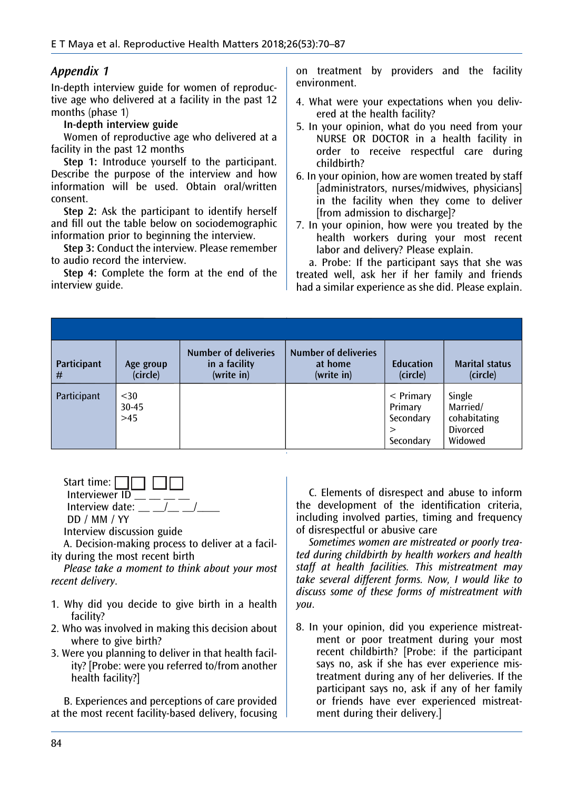## <span id="page-15-0"></span>Appendix 1

In-depth interview guide for women of reproductive age who delivered at a facility in the past 12 months (phase 1)

In-depth interview guide

Women of reproductive age who delivered at a facility in the past 12 months

Step 1: Introduce yourself to the participant. Describe the purpose of the interview and how information will be used. Obtain oral/written consent.

Step 2: Ask the participant to identify herself and fill out the table below on sociodemographic information prior to beginning the interview.

Step 3: Conduct the interview. Please remember to audio record the interview.

Step 4: Complete the form at the end of the interview guide.

on treatment by providers and the facility environment.

- 4. What were your expectations when you delivered at the health facility?
- 5. In your opinion, what do you need from your NURSE OR DOCTOR in a health facility in order to receive respectful care during childbirth?
- 6. In your opinion, how are women treated by staff [administrators, nurses/midwives, physicians] in the facility when they come to deliver [from admission to discharge]?
- 7. In your opinion, how were you treated by the health workers during your most recent labor and delivery? Please explain.

a. Probe: If the participant says that she was treated well, ask her if her family and friends had a similar experience as she did. Please explain.

| Participant<br># | Age group<br>(circle) | Number of deliveries<br>in a facility<br>(write in) | <b>Number of deliveries</b><br>at home<br>(write in) | <b>Education</b><br>(circle)                        | <b>Marital status</b><br>(circle)                                |
|------------------|-----------------------|-----------------------------------------------------|------------------------------------------------------|-----------------------------------------------------|------------------------------------------------------------------|
| Participant      | $30$<br>30-45<br>>45  |                                                     |                                                      | $\leq$ Primary<br>Primary<br>Secondary<br>Secondary | Single<br>Married/<br>cohabitating<br><b>Divorced</b><br>Widowed |

Start time:  $\Box \Box$ Interviewer  $ID$ Interview date: DD / MM / YY Interview discussion guide

A. Decision-making process to deliver at a facility during the most recent birth

Please take a moment to think about your most recent delivery.

- 1. Why did you decide to give birth in a health facility?
- 2. Who was involved in making this decision about where to give birth?
- 3. Were you planning to deliver in that health facility? [Probe: were you referred to/from another health facility?]

B. Experiences and perceptions of care provided at the most recent facility-based delivery, focusing

C. Elements of disrespect and abuse to inform the development of the identification criteria, including involved parties, timing and frequency of disrespectful or abusive care

Sometimes women are mistreated or poorly treated during childbirth by health workers and health staff at health facilities. This mistreatment may take several different forms. Now, I would like to discuss some of these forms of mistreatment with you.

8. In your opinion, did you experience mistreatment or poor treatment during your most recent childbirth? [Probe: if the participant says no, ask if she has ever experience mistreatment during any of her deliveries. If the participant says no, ask if any of her family or friends have ever experienced mistreatment during their delivery.]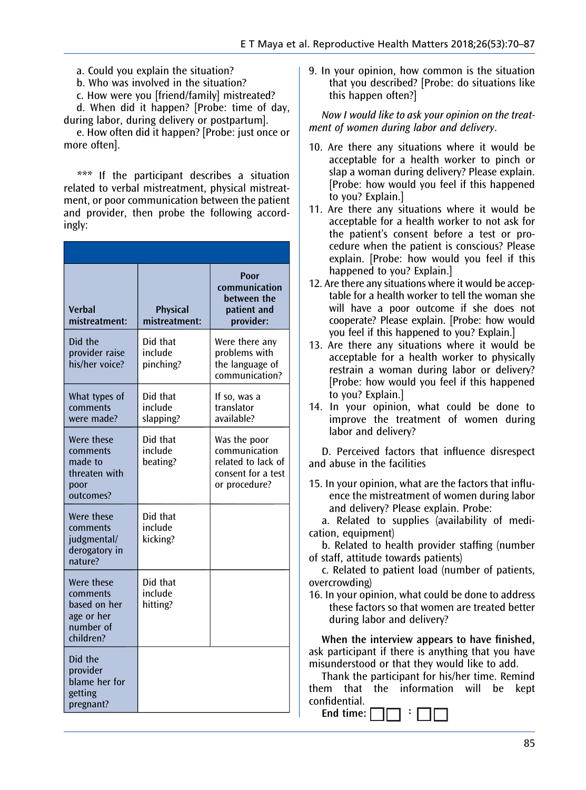a. Could you explain the situation?

- b. Who was involved in the situation?
- c. How were you [friend/family] mistreated?

d. When did it happen? [Probe: time of day, during labor, during delivery or postpartum].

e. How often did it happen? [Probe: just once or more often].

\*\*\* If the participant describes a situation related to verbal mistreatment, physical mistreatment, or poor communication between the patient and provider, then probe the following accordingly:

| Verbal<br>mistreatment:                                                        | <b>Physical</b><br>mistreatment: | Poor<br>communication<br>between the<br>patient and<br>provider:                           |
|--------------------------------------------------------------------------------|----------------------------------|--------------------------------------------------------------------------------------------|
| Did the<br>provider raise<br>his/her voice?                                    | Did that<br>include<br>pinching? | Were there any<br>problems with<br>the language of<br>communication?                       |
| What types of<br>comments<br>were made?                                        | Did that<br>include<br>slapping? | If so, was a<br>translator<br>available?                                                   |
| Were these<br>comments<br>made to<br>threaten with<br>poor<br>outcomes?        | Did that<br>include<br>beating?  | Was the poor<br>communication<br>related to lack of<br>consent for a test<br>or procedure? |
| Were these<br>comments<br>judgmental/<br>derogatory in<br>nature?              | Did that<br>include<br>kicking?  |                                                                                            |
| Were these<br>comments<br>based on her<br>age or her<br>number of<br>children? | Did that<br>include<br>hitting?  |                                                                                            |
| Did the<br>provider<br>blame her for<br>getting<br>pregnant?                   |                                  |                                                                                            |

9. In your opinion, how common is the situation that you described? [Probe: do situations like this happen often?]

#### Now I would like to ask your opinion on the treatment of women during labor and delivery.

- 10. Are there any situations where it would be acceptable for a health worker to pinch or slap a woman during delivery? Please explain. [Probe: how would you feel if this happened to you? Explain.]
- 11. Are there any situations where it would be acceptable for a health worker to not ask for the patient's consent before a test or procedure when the patient is conscious? Please explain. [Probe: how would you feel if this happened to you? Explain.]
- 12. Are there any situations where it would be acceptable for a health worker to tell the woman she will have a poor outcome if she does not cooperate? Please explain. [Probe: how would you feel if this happened to you? Explain.]
- 13. Are there any situations where it would be acceptable for a health worker to physically restrain a woman during labor or delivery? [Probe: how would you feel if this happened to you? Explain.]
- 14. In your opinion, what could be done to improve the treatment of women during labor and delivery?

D. Perceived factors that influence disrespect and abuse in the facilities

15. In your opinion, what are the factors that influence the mistreatment of women during labor and delivery? Please explain. Probe:

a. Related to supplies (availability of medication, equipment)

b. Related to health provider staffing (number of staff, attitude towards patients)

c. Related to patient load (number of patients, overcrowding)

16. In your opinion, what could be done to address these factors so that women are treated better during labor and delivery?

When the interview appears to have finished, ask participant if there is anything that you have misunderstood or that they would like to add.

Thank the participant for his/her time. Remind them that the information will be kept confidential.

End time:  $\Box$ ÷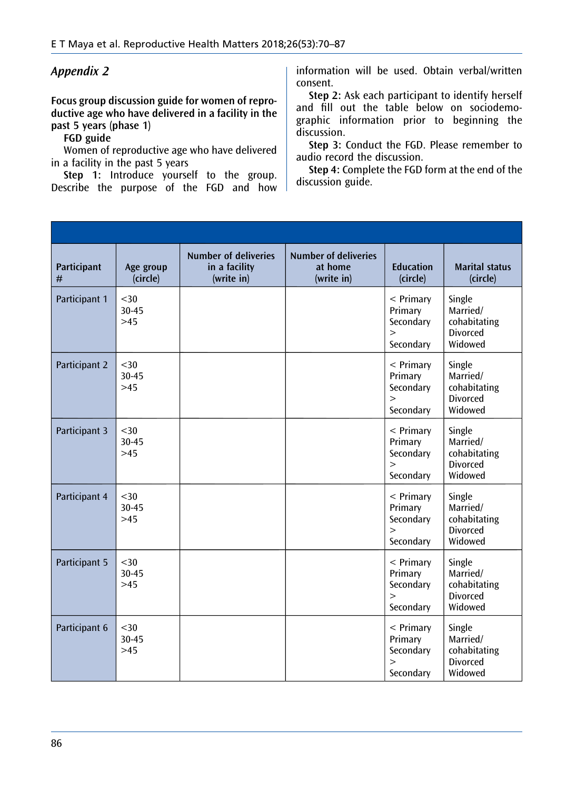## <span id="page-17-0"></span>Appendix 2

Focus group discussion guide for women of reproductive age who have delivered in a facility in the past 5 years (phase 1)

FGD guide

Women of reproductive age who have delivered in a facility in the past 5 years

Step 1: Introduce yourself to the group. Describe the purpose of the FGD and how information will be used. Obtain verbal/written consent.

Step 2: Ask each participant to identify herself and fill out the table below on sociodemographic information prior to beginning the discussion.

Step 3: Conduct the FGD. Please remember to audio record the discussion.

Step 4: Complete the FGD form at the end of the discussion guide.

| Participant<br># | Age group<br>(circle)  | <b>Number of deliveries</b><br>in a facility<br>(write in) | <b>Number of deliveries</b><br>at home<br>(write in) | <b>Education</b><br>(circle)                               | <b>Marital status</b><br>(circle)                                |
|------------------|------------------------|------------------------------------------------------------|------------------------------------------------------|------------------------------------------------------------|------------------------------------------------------------------|
| Participant 1    | $30$<br>30-45<br>>45   |                                                            |                                                      | $<$ Primary<br>Primary<br>Secondary<br>$\geq$<br>Secondary | Single<br>Married/<br>cohabitating<br><b>Divorced</b><br>Widowed |
| Participant 2    | $30$<br>30-45<br>>45   |                                                            |                                                      | $<$ Primary<br>Primary<br>Secondary<br>$\geq$<br>Secondary | Single<br>Married/<br>cohabitating<br><b>Divorced</b><br>Widowed |
| Participant 3    | $30$<br>30-45<br>$>45$ |                                                            |                                                      | $<$ Primary<br>Primary<br>Secondary<br>$\geq$<br>Secondary | Single<br>Married/<br>cohabitating<br><b>Divorced</b><br>Widowed |
| Participant 4    | $30$<br>30-45<br>>45   |                                                            |                                                      | $<$ Primary<br>Primary<br>Secondary<br>$\geq$<br>Secondary | Single<br>Married/<br>cohabitating<br><b>Divorced</b><br>Widowed |
| Participant 5    | $30$<br>30-45<br>$>45$ |                                                            |                                                      | $<$ Primary<br>Primary<br>Secondary<br>$\geq$<br>Secondary | Single<br>Married/<br>cohabitating<br><b>Divorced</b><br>Widowed |
| Participant 6    | $30$<br>30-45<br>$>45$ |                                                            |                                                      | $<$ Primary<br>Primary<br>Secondary<br>$\geq$<br>Secondary | Single<br>Married/<br>cohabitating<br><b>Divorced</b><br>Widowed |